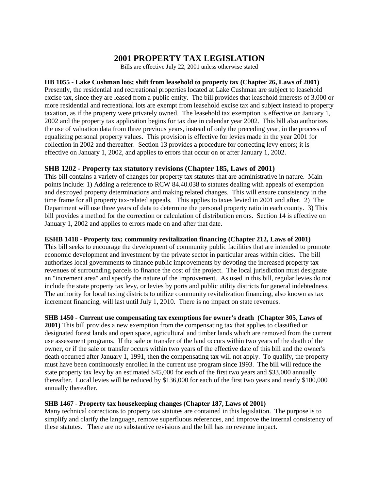# **2001 PROPERTY TAX LEGISLATION**

Bills are effective July 22, 2001 unless otherwise stated

### **HB 1055 - Lake Cushman lots; shift from leasehold to property tax (Chapter 26, Laws of 2001)**

Presently, the residential and recreational properties located at Lake Cushman are subject to leasehold excise tax, since they are leased from a public entity. The bill provides that leasehold interests of 3,000 or more residential and recreational lots are exempt from leasehold excise tax and subject instead to property taxation, as if the property were privately owned. The leasehold tax exemption is effective on January 1, 2002 and the property tax application begins for tax due in calendar year 2002. This bill also authorizes the use of valuation data from three previous years, instead of only the preceding year, in the process of equalizing personal property values. This provision is effective for levies made in the year 2001 for collection in 2002 and thereafter. Section 13 provides a procedure for correcting levy errors; it is effective on January 1, 2002, and applies to errors that occur on or after January 1, 2002.

## **SHB 1202 - Property tax statutory revisions (Chapter 185, Laws of 2001)**

This bill contains a variety of changes for property tax statutes that are administrative in nature. Main points include: 1) Adding a reference to RCW 84.40.038 to statutes dealing with appeals of exemption and destroyed property determinations and making related changes. This will ensure consistency in the time frame for all property tax-related appeals. This applies to taxes levied in 2001 and after. 2) The Department will use three years of data to determine the personal property ratio in each county. 3) This bill provides a method for the correction or calculation of distribution errors. Section 14 is effective on January 1, 2002 and applies to errors made on and after that date.

### **ESHB 1418 - Property tax; community revitalization financing (Chapter 212, Laws of 2001)**

This bill seeks to encourage the development of community public facilities that are intended to promote economic development and investment by the private sector in particular areas within cities. The bill authorizes local governments to finance public improvements by devoting the increased property tax revenues of surrounding parcels to finance the cost of the project. The local jurisdiction must designate an "increment area" and specify the nature of the improvement. As used in this bill, regular levies do not include the state property tax levy, or levies by ports and public utility districts for general indebtedness. The authority for local taxing districts to utilize community revitalization financing, also known as tax increment financing, will last until July 1, 2010. There is no impact on state revenues.

### **SHB 1450 - Current use compensating tax exemptions for owner's death (Chapter 305, Laws of**

**2001)** This bill provides a new exemption from the compensating tax that applies to classified or designated forest lands and open space, agricultural and timber lands which are removed from the current use assessment programs. If the sale or transfer of the land occurs within two years of the death of the owner, or if the sale or transfer occurs within two years of the effective date of this bill and the owner's death occurred after January 1, 1991, then the compensating tax will not apply. To qualify, the property must have been continuously enrolled in the current use program since 1993. The bill will reduce the state property tax levy by an estimated \$45,000 for each of the first two years and \$33,000 annually thereafter. Local levies will be reduced by \$136,000 for each of the first two years and nearly \$100,000 annually thereafter.

### **SHB 1467 - Property tax housekeeping changes (Chapter 187, Laws of 2001)**

Many technical corrections to property tax statutes are contained in this legislation. The purpose is to simplify and clarify the language, remove superfluous references, and improve the internal consistency of these statutes. There are no substantive revisions and the bill has no revenue impact.